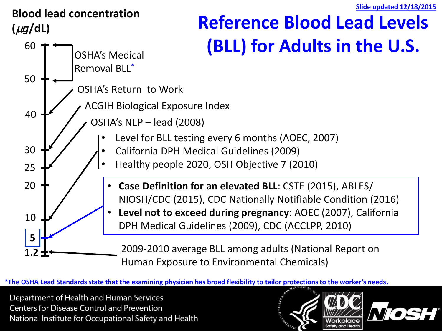

\*The OSHA Lead Standards state that the examining physician has broad flexibility to tailor protections to the worker's needs.

Department of Health and Human Services **Centers for Disease Control and Prevention** National Institute for Occupational Safety and Health